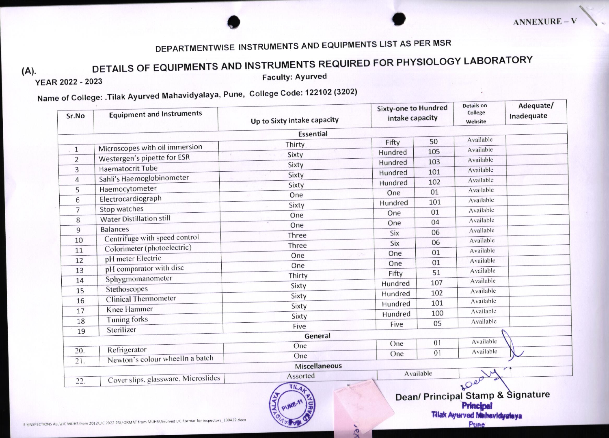## DEPARTMENTWISE INSTRUMENTS AND EQUIPMENTS LIST AS PER MSR

## DETAILS OF EQUIPMENTS AND INSTRUMENTS REQUIRED FOR PHYSIOLOGY LABORATORY

 $(A).$ 

YEAR 2022 - 2023

**Faculty: Ayurved** 

## Name of College: .Tilak Ayurved Mahavidyalaya, Pune, College Code: 122102 (3202)

| Sr.No          | <b>Equipment and Instruments</b>    | Up to Sixty intake capacity | <b>Sixty-one to Hundred</b><br>intake capacity |                | Details on<br>College<br>Website | Adequate/<br>Inadequate |
|----------------|-------------------------------------|-----------------------------|------------------------------------------------|----------------|----------------------------------|-------------------------|
|                |                                     | <b>Essential</b>            |                                                |                |                                  |                         |
|                | Microscopes with oil immersion      | Thirty                      | Fifty                                          | 50             | Available                        |                         |
| $\mathbf{1}$   | Westergen's pipette for ESR         | Sixty                       | Hundred                                        | 105            | Available                        |                         |
| $\overline{2}$ |                                     | Sixty                       | Hundred                                        | 103            | Available                        |                         |
| 3              | <b>Haematocrit Tube</b>             | Sixty                       | Hundred                                        | 101            | Available                        |                         |
| $\overline{4}$ | Sahli's Haemoglobinometer           | Sixty                       | Hundred                                        | 102            | Available                        |                         |
| 5              | Haemocytometer                      | One                         | One                                            | 01             | Available                        |                         |
| 6              | Electrocardiograph                  | Sixty                       | Hundred                                        | 101            | Available                        |                         |
| $\overline{7}$ | Stop watches                        | One                         | One                                            | 01             | Available                        |                         |
| 8              | <b>Water Distillation still</b>     | One                         | One                                            | 04             | Available                        |                         |
| 9              | <b>Balances</b>                     | Three                       | Six                                            | 06             | Available                        |                         |
| 10             | Centrifuge with speed control       | Three                       | Six                                            | 06             | Available                        |                         |
| 11             | Colorimeter (photoelectric)         | One                         | One                                            | 01             | Available                        |                         |
| 12             | pH meter Electric                   |                             | One                                            | 01             | Available                        |                         |
| 13             | pH comparator with disc             | One                         | Fifty                                          | 51             | Available                        |                         |
| 14             | Sphygmomanometer                    | Thirty                      | Hundred                                        | 107            | Available                        |                         |
| 15             | Stethoscopes                        | Sixty                       | Hundred                                        | 102            | Available                        |                         |
| 16             | <b>Clinical Thermometer</b>         | Sixty                       | Hundred                                        | 101            | Available                        |                         |
| 17             | <b>Knee Hammer</b>                  | Sixty                       | Hundred                                        | 100            | Available                        |                         |
| 18             | Tuning forks                        | Sixty                       | Five                                           | 05             | Available                        |                         |
| 19             | Sterilizer                          | Five                        |                                                |                |                                  |                         |
|                |                                     | General                     | One                                            | 0 <sub>1</sub> | Available                        |                         |
| 20.            | Refrigerator                        | One                         |                                                | 0 <sub>1</sub> | Available                        |                         |
| 21.            | Newton's colour wheelIn a batch     | One                         | One                                            |                |                                  |                         |
|                |                                     | <b>Miscellaneous</b>        |                                                |                |                                  |                         |
| 22.            | Cover slips, glassware, Microslides | Assorted                    | Available                                      |                | fler                             |                         |



 $\mathbf{\Omega}$ 

E:\INSPECTIONS ALL\LIC MUHS from 2012\LIC 2022 23\FORMAT from MUHS\Ayurved LIC Format for inspectors\_130422.docx

Dean/ Principal Stamp & Signature Principal Tilak Ayurved Mehavidyalaya Pune